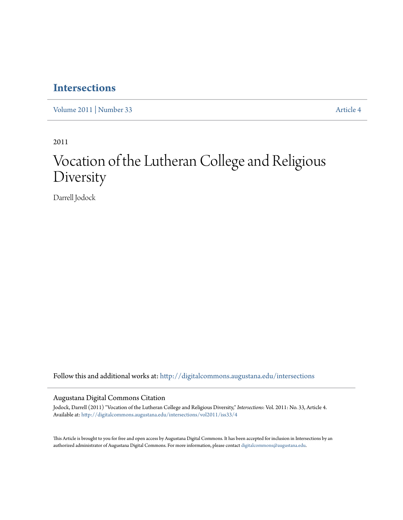# **[Intersections](http://digitalcommons.augustana.edu/intersections?utm_source=digitalcommons.augustana.edu%2Fintersections%2Fvol2011%2Fiss33%2F4&utm_medium=PDF&utm_campaign=PDFCoverPages)**

[Volume 2011](http://digitalcommons.augustana.edu/intersections/vol2011?utm_source=digitalcommons.augustana.edu%2Fintersections%2Fvol2011%2Fiss33%2F4&utm_medium=PDF&utm_campaign=PDFCoverPages) | [Number 33](http://digitalcommons.augustana.edu/intersections/vol2011/iss33?utm_source=digitalcommons.augustana.edu%2Fintersections%2Fvol2011%2Fiss33%2F4&utm_medium=PDF&utm_campaign=PDFCoverPages) [Article 4](http://digitalcommons.augustana.edu/intersections/vol2011/iss33/4?utm_source=digitalcommons.augustana.edu%2Fintersections%2Fvol2011%2Fiss33%2F4&utm_medium=PDF&utm_campaign=PDFCoverPages)

2011

# Vocation of the Lutheran College and Religious Diversity

Darrell Jodock

Follow this and additional works at: [http://digitalcommons.augustana.edu/intersections](http://digitalcommons.augustana.edu/intersections?utm_source=digitalcommons.augustana.edu%2Fintersections%2Fvol2011%2Fiss33%2F4&utm_medium=PDF&utm_campaign=PDFCoverPages)

### Augustana Digital Commons Citation

Jodock, Darrell (2011) "Vocation of the Lutheran College and Religious Diversity," *Intersections*: Vol. 2011: No. 33, Article 4. Available at: [http://digitalcommons.augustana.edu/intersections/vol2011/iss33/4](http://digitalcommons.augustana.edu/intersections/vol2011/iss33/4?utm_source=digitalcommons.augustana.edu%2Fintersections%2Fvol2011%2Fiss33%2F4&utm_medium=PDF&utm_campaign=PDFCoverPages)

This Article is brought to you for free and open access by Augustana Digital Commons. It has been accepted for inclusion in Intersections by an authorized administrator of Augustana Digital Commons. For more information, please contact [digitalcommons@augustana.edu.](mailto:digitalcommons@augustana.edu)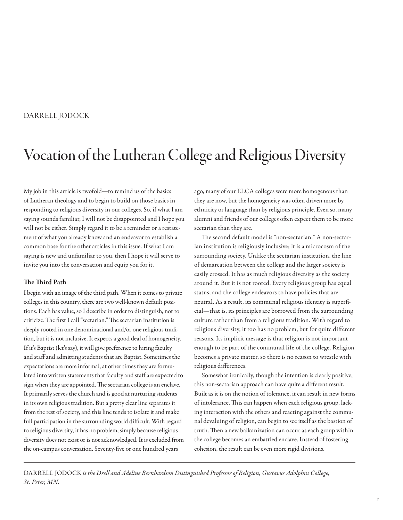### DARRELL JODOCK

# Vocation of the Lutheran College and Religious Diversity

My job in this article is twofold—to remind us of the basics of Lutheran theology and to begin to build on those basics in responding to religious diversity in our colleges. So, if what I am saying sounds familiar, I will not be disappointed and I hope you will not be either. Simply regard it to be a reminder or a restatement of what you already know and an endeavor to establish a common base for the other articles in this issue. If what I am saying is new and unfamiliar to you, then I hope it will serve to invite you into the conversation and equip you for it.

#### The Third Path

I begin with an image of the third path. When it comes to private colleges in this country, there are two well-known default positions. Each has value, so I describe in order to distinguish, not to criticize. The first I call "sectarian." The sectarian institution is deeply rooted in one denominational and/or one religious tradition, but it is not inclusive. It expects a good deal of homogeneity. If it's Baptist (let's say), it will give preference to hiring faculty and staff and admitting students that are Baptist. Sometimes the expectations are more informal, at other times they are formulated into written statements that faculty and staff are expected to sign when they are appointed. The sectarian college is an enclave. It primarily serves the church and is good at nurturing students in its own religious tradition. But a pretty clear line separates it from the rest of society, and this line tends to isolate it and make full participation in the surrounding world difficult. With regard to religious diversity, it has no problem, simply because religious diversity does not exist or is not acknowledged. It is excluded from the on-campus conversation. Seventy-fve or one hundred years

ago, many of our ELCA colleges were more homogenous than they are now, but the homogeneity was ofen driven more by ethnicity or language than by religious principle. Even so, many alumni and friends of our colleges often expect them to be more sectarian than they are.

The second default model is "non-sectarian." A non-sectarian institution is religiously inclusive; it is a microcosm of the surrounding society. Unlike the sectarian institution, the line of demarcation between the college and the larger society is easily crossed. It has as much religious diversity as the society around it. But it is not rooted. Every religious group has equal status, and the college endeavors to have policies that are neutral. As a result, its communal religious identity is superfcial—that is, its principles are borrowed from the surrounding culture rather than from a religious tradition. With regard to religious diversity, it too has no problem, but for quite diferent reasons. Its implicit message is that religion is not important enough to be part of the communal life of the college. Religion becomes a private matter, so there is no reason to wrestle with religious diferences.

Somewhat ironically, though the intention is clearly positive, this non-sectarian approach can have quite a diferent result. Built as it is on the notion of tolerance, it can result in new forms of intolerance. This can happen when each religious group, lacking interaction with the others and reacting against the communal devaluing of religion, can begin to see itself as the bastion of truth. Then a new balkanization can occur as each group within the college becomes an embattled enclave. Instead of fostering cohesion, the result can be even more rigid divisions.

DARRELL JODOCK is the Drell and Adeline Bernhardson Distinguished Professor of Religion, Gustavus Adolphus College, St. Peter, MN.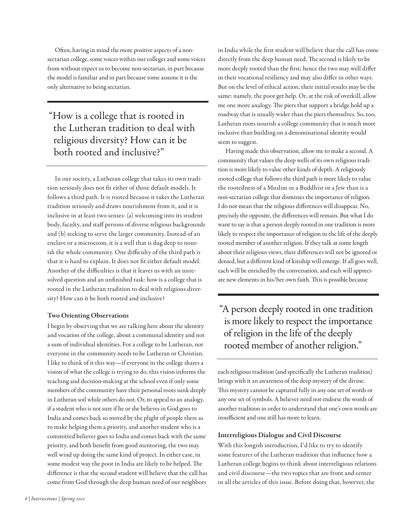Often, having in mind the more positive aspects of a nonsectarian college, some voices within our colleges and some voices from without expect us to become non-sectarian, in part because the model is familiar and in part because some assume it is the only alternative to being sectarian.

"How is a college that is rooted in the Lutheran tradition to deal with religious diversity? How can it be both rooted and inclusive?"

In our society, a Lutheran college that takes its own tradition seriously does not ft either of those default models. It follows a third path. It is rooted because it takes the Lutheran tradition seriously and draws nourishment from it, and it is inclusive in at least two senses: (a) welcoming into its student body, faculty, and staf persons of diverse religious backgrounds and (b) seeking to serve the larger community. Instead of an enclave or a microcosm, it is a well that is dug deep to nourish the whole community. One difficulty of the third path is that it is hard to explain. It does not ft either default model. Another of the difficulties is that it leaves us with an unresolved question and an unfnished task: how is a college that is rooted in the Lutheran tradition to deal with religious diversity? How can it be both rooted and inclusive?

### Two Orienting Observations

I begin by observing that we are talking here about the identity and vocation of the college, about a communal identity and not a sum of individual identities. For a college to be Lutheran, not everyone in the community needs to be Lutheran or Christian. I like to think of it this way—if everyone in the college shares a vision of what the college is trying to do, this vision informs the teaching and decision-making at the school even if only some members of the community have their personal roots sunk deeply in Lutheran soil while others do not. Or, to appeal to an analogy, if a student who is not sure if he or she believes in God goes to India and comes back so moved by the plight of people there as to make helping them a priority, and another student who is a committed believer goes to India and comes back with the same priority, and both beneft from good mentoring, the two may well wind up doing the same kind of project. In either case, in some modest way the poor in India are likely to be helped. The diference is that the second student will believe that the call has come from God through the deep human need of our neighbors

in India while the frst student will believe that the call has come directly from the deep human need. The second is likely to be more deeply rooted than the frst; hence the two may well difer in their vocational resiliency and may also difer in other ways. But on the level of ethical action, their initial results may be the same: namely, the poor get help. Or, at the risk of overkill, allow me one more analogy. The piers that support a bridge hold up a roadway that is usually wider than the piers themselves. So, too, Lutheran roots nourish a college community that is much more inclusive than building on a denominational identity would seem to suggest.

Having made this observation, allow me to make a second. A community that values the deep wells of its own religious tradition is more likely to value other kinds of depth. A religiously rooted college that follows the third path is more likely to value the rootedness of a Muslim or a Buddhist or a Jew than is a non-sectarian college that dismisses the importance of religion. I do not mean that the religious diferences will disappear. No, precisely the opposite, the diferences will remain. But what I do want to say is that a person deeply rooted in one tradition is more likely to respect the importance of religion in the life of the deeply rooted member of another religion. If they talk at some length about their religious views, their diferences will not be ignored or denied, but a diferent kind of kinship will emerge. If all goes well, each will be enriched by the conversation, and each will appreciate new elements in his/her own faith. This is possible because

# "A person deeply rooted in one tradition is more likely to respect the importance of religion in the life of the deeply rooted member of another religion."

each religious tradition (and specifcally the Lutheran tradition) brings with it an awareness of the deep mystery of the divine. This mystery cannot be captured fully in any one set of words or any one set of symbols. A believer need not endorse the words of another tradition in order to understand that one's own words are insufficient and one still has more to learn.

### Interreligious Dialogue and Civil Discourse

With this longish introduction, I'd like to try to identify some features of the Lutheran tradition that infuence how a Lutheran college begins to think about interreligious relations and civil discourse—the two topics that are front and center in all the articles of this issue. Before doing that, however, the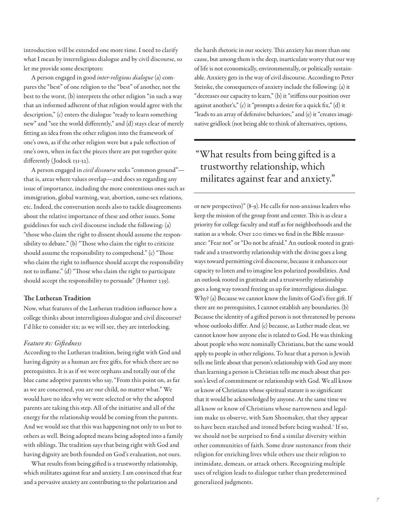introduction will be extended one more time. I need to clarify what I mean by interreligious dialogue and by civil discourse, so let me provide some descriptors:

A person engaged in good inter-religious dialogue (a) compares the "best" of one religion to the "best" of another, not the best to the worst, (b) interprets the other religion "in such a way that an informed adherent of that religion would agree with the description," (c) enters the dialogue "ready to learn something new" and "see the world diferently," and (d) stays clear of merely ftting an idea from the other religion into the framework of one's own, as if the other religion were but a pale refection of one's own, when in fact the pieces there are put together quite diferently (Jodock 131-32).

A person engaged in *civil discourse* seeks "common ground"that is, areas where values overlap—and does so regarding any issue of importance, including the more contentious ones such as immigration, global warming, war, abortion, same-sex relations, etc. Indeed, the conversation needs also to tackle disagreements about the relative importance of these and other issues. Some guidelines for such civil discourse include the following: (a) "those who claim the right to dissent should assume the responsibility to debate." (b) "Those who claim the right to criticize should assume the responsibility to comprehend." (c) "Those who claim the right to infuence should accept the responsibility not to inflame." (d) "Those who claim the right to participate should accept the responsibility to persuade" (Hunter 239).

#### The Lutheran Tradition

Now, what features of the Lutheran tradition infuence how a college thinks about interreligious dialogue and civil discourse? I'd like to consider six; as we will see, they are interlocking.

#### Feature #1: Gifedness

According to the Lutheran tradition, being right with God and having dignity as a human are free gifs, for which there are no prerequisites. It is as if we were orphans and totally out of the blue came adoptive parents who say, "From this point on, as far as we are concerned, you are our child, no matter what." We would have no idea why we were selected or why the adopted parents are taking this step. All of the initiative and all of the energy for the relationship would be coming from the parents. And we would see that this was happening not only to us but to others as well. Being adopted means being adopted into a family with siblings. The tradition says that being right with God and having dignity are both founded on God's evaluation, not ours.

What results from being gifed is a trustworthy relationship, which militates against fear and anxiety. I am convinced that fear and a pervasive anxiety are contributing to the polarization and

the harsh rhetoric in our society. This anxiety has more than one cause, but among them is the deep, inarticulate worry that our way of life is not economically, environmentally, or politically sustainable. Anxiety gets in the way of civil discourse. According to Peter Steinke, the consequences of anxiety include the following: (a) it "decreases our capacity to learn," (b) it "stifens our position over against another's," (c) it "prompts a desire for a quick fx," (d) it "leads to an array of defensive behaviors," and (e) it "creates imaginative gridlock (not being able to think of alternatives, options,

# "What results from being gifed is a trustworthy relationship, which militates against fear and anxiety."

or new perspectives)" (8-9). He calls for non-anxious leaders who keep the mission of the group front and center. This is as clear a priority for college faculty and staf as for neighborhoods and the nation as a whole. Over 200 times we fnd in the Bible reassurance: "Fear not" or "Do not be afraid." An outlook rooted in gratitude and a trustworthy relationship with the divine goes a long ways toward permitting civil discourse, because it enhances our capacity to listen and to imagine less polarized possibilities. And an outlook rooted in gratitude and a trustworthy relationship goes a long way toward freeing us up for interreligious dialogue. Why? (a) Because we cannot know the limits of God's free gif. If there are no prerequisites, I cannot establish any boundaries. (b) Because the identity of a gifed person is not threatened by persons whose outlooks difer. And (c) because, as Luther made clear, we cannot know how anyone else is related to God. He was thinking about people who were nominally Christians, but the same would apply to people in other religions. To hear that a person is Jewish tells me little about that person's relationship with God any more than learning a person is Christian tells me much about that person's level of commitment or relationship with God. We all know or know of Christians whose spiritual stature is so signifcant that it would be acknowledged by anyone. At the same time we all know or know of Christians whose narrowness and legalism make us observe, with Sam Shoemaker, that they appear to have been starched and ironed before being washed.<sup>1</sup> If so, we should not be surprised to fnd a similar diversity within other communities of faith. Some draw sustenance from their religion for enriching lives while others use their religion to intimidate, demean, or attack others. Recognizing multiple uses of religion leads to dialogue rather than predetermined generalized judgments.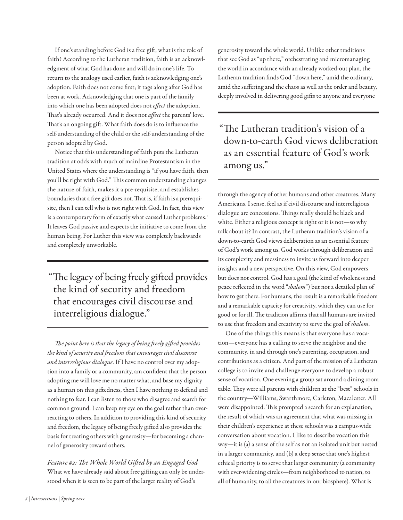If one's standing before God is a free gif, what is the role of faith? According to the Lutheran tradition, faith is an acknowledgment of what God has done and will do in one's life. To return to the analogy used earlier, faith is acknowledging one's adoption. Faith does not come frst; it tags along afer God has been at work. Acknowledging that one is part of the family into which one has been adopted does not *effect* the adoption. That's already occurred. And it does not affect the parents' love. That's an ongoing gift. What faith does do is to influence the self-understanding of the child or the self-understanding of the person adopted by God.

Notice that this understanding of faith puts the Lutheran tradition at odds with much of mainline Protestantism in the United States where the understanding is "if you have faith, then you'll be right with God." This common understanding changes the nature of faith, makes it a pre-requisite, and establishes boundaries that a free gift does not. That is, if faith is a prerequisite, then I can tell who is not right with God. In fact, this view is a contemporary form of exactly what caused Luther problems.<sup>2</sup> It leaves God passive and expects the initiative to come from the human being. For Luther this view was completely backwards and completely unworkable.

"The legacy of being freely gifted provides the kind of security and freedom that encourages civil discourse and interreligious dialogue."

The point here is that the legacy of being freely gifted provides the kind of security and feedom that encourages civil discourse and interreligious dialogue. If I have no control over my adoption into a family or a community, am confdent that the person adopting me will love me no matter what, and base my dignity as a human on this gifedness, then I have nothing to defend and nothing to fear. I can listen to those who disagree and search for common ground. I can keep my eye on the goal rather than overreacting to others. In addition to providing this kind of security and freedom, the legacy of being freely gifed also provides the basis for treating others with generosity—for becoming a channel of generosity toward others.

Feature #2: The Whole World Gifted by an Engaged God What we have already said about free gifing can only be understood when it is seen to be part of the larger reality of God's

generosity toward the whole world. Unlike other traditions that see God as "up there," orchestrating and micromanaging the world in accordance with an already worked-out plan, the Lutheran tradition fnds God "down here," amid the ordinary, amid the sufering and the chaos as well as the order and beauty, deeply involved in delivering good gifts to anyone and everyone

"The Lutheran tradition's vision of a down-to-earth God views deliberation as an essential feature of God's work among us."

through the agency of other humans and other creatures. Many Americans, I sense, feel as if civil discourse and interreligious dialogue are concessions. Things really should be black and white. Either a religious concept is right or it is not—so why talk about it? In contrast, the Lutheran tradition's vision of a down-to-earth God views deliberation as an essential feature of God's work among us. God works through deliberation and its complexity and messiness to invite us forward into deeper insights and a new perspective. On this view, God empowers but does not control. God has a goal (the kind of wholeness and peace refected in the word "shalom") but not a detailed plan of how to get there. For humans, the result is a remarkable freedom and a remarkable capacity for creativity, which they can use for good or for ill. The tradition affirms that all humans are invited to use that freedom and creativity to serve the goal of shalom.

One of the things this means is that everyone has a vocation—everyone has a calling to serve the neighbor and the community, in and through one's parenting, occupation, and contributions as a citizen. And part of the mission of a Lutheran college is to invite and challenge everyone to develop a robust sense of vocation. One evening a group sat around a dining room table. They were all parents with children at the "best" schools in the country—Williams, Swarthmore, Carleton, Macalester. All were disappointed. This prompted a search for an explanation, the result of which was an agreement that what was missing in their children's experience at these schools was a campus-wide conversation about vocation. I like to describe vocation this way—it is (a) a sense of the self as not an isolated unit but nested in a larger community, and (b) a deep sense that one's highest ethical priority is to serve that larger community (a community with ever-widening circles—from neighborhood to nation, to all of humanity, to all the creatures in our biosphere). What is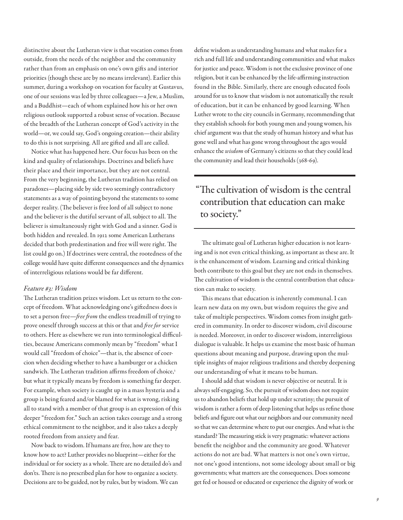distinctive about the Lutheran view is that vocation comes from outside, from the needs of the neighbor and the community rather than from an emphasis on one's own gifts and interior priorities (though these are by no means irrelevant). Earlier this summer, during a workshop on vocation for faculty at Gustavus, one of our sessions was led by three colleagues—a Jew, a Muslim, and a Buddhist—each of whom explained how his or her own religious outlook supported a robust sense of vocation. Because of the breadth of the Lutheran concept of God's activity in the world—or, we could say, God's ongoing creation—their ability to do this is not surprising. All are gifed and all are called.

Notice what has happened here. Our focus has been on the kind and quality of relationships. Doctrines and beliefs have their place and their importance, but they are not central. From the very beginning, the Lutheran tradition has relied on paradoxes—placing side by side two seemingly contradictory statements as a way of pointing beyond the statements to some deeper reality. (The believer is free lord of all subject to none and the believer is the dutiful servant of all, subject to all. The believer is simultaneously right with God and a sinner. God is both hidden and revealed. In 1912 some American Lutherans decided that both predestination and free will were right. The list could go on.) If doctrines were central, the rootedness of the college would have quite diferent consequences and the dynamics of interreligious relations would be far diferent.

#### Feature #3: Wisdom

The Lutheran tradition prizes wisdom. Let us return to the concept of freedom. What acknowledging one's gifedness does is to set a person free—free from the endless treadmill of trying to prove oneself through success at this or that and free for service to others. Here as elsewhere we run into terminological difficulties, because Americans commonly mean by "freedom" what I would call "freedom of choice"—that is, the absence of coercion when deciding whether to have a hamburger or a chicken sandwich. The Lutheran tradition affirms freedom of choice,<sup>3</sup> but what it typically means by freedom is something far deeper. For example, when society is caught up in a mass hysteria and a group is being feared and/or blamed for what is wrong, risking all to stand with a member of that group is an expression of this deeper "freedom for." Such an action takes courage and a strong ethical commitment to the neighbor, and it also takes a deeply rooted freedom from anxiety and fear.

Now back to wisdom. If humans are free, how are they to know how to act? Luther provides no blueprint—either for the individual or for society as a whole. There are no detailed do's and don'ts. There is no prescribed plan for how to organize a society. Decisions are to be guided, not by rules, but by wisdom. We can

defne wisdom as understanding humans and what makes for a rich and full life and understanding communities and what makes for justice and peace. Wisdom is not the exclusive province of one religion, but it can be enhanced by the life-affirming instruction found in the Bible. Similarly, there are enough educated fools around for us to know that wisdom is not automatically the result of education, but it can be enhanced by good learning. When Luther wrote to the city councils in Germany, recommending that they establish schools for both young men and young women, his chief argument was that the study of human history and what has gone well and what has gone wrong throughout the ages would enhance the wisdom of Germany's citizens so that they could lead the community and lead their households (368-69).

# "The cultivation of wisdom is the central contribution that education can make to society."

The ultimate goal of Lutheran higher education is not learning and is not even critical thinking, as important as these are. It is the enhancement of wisdom. Learning and critical thinking both contribute to this goal but they are not ends in themselves. The cultivation of wisdom is the central contribution that education can make to society.

This means that education is inherently communal. I can learn new data on my own, but wisdom requires the give and take of multiple perspectives. Wisdom comes from insight gathered in community. In order to discover wisdom, civil discourse is needed. Moreover, in order to discover wisdom, interreligious dialogue is valuable. It helps us examine the most basic of human questions about meaning and purpose, drawing upon the multiple insights of major religious traditions and thereby deepening our understanding of what it means to be human.

I should add that wisdom is never objective or neutral. It is always self-engaging. So, the pursuit of wisdom does not require us to abandon beliefs that hold up under scrutiny; the pursuit of wisdom is rather a form of deep listening that helps us refne those beliefs and fgure out what our neighbors and our community need so that we can determine where to put our energies. And what is the standard? The measuring stick is very pragmatic: whatever actions beneft the neighbor and the community are good. Whatever actions do not are bad. What matters is not one's own virtue, not one's good intentions, not some ideology about small or big governments; what matters are the consequences. Does someone get fed or housed or educated or experience the dignity of work or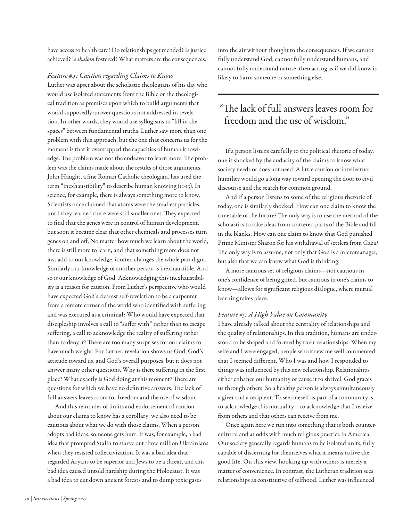have access to health care? Do relationships get mended? Is justice achieved? Is *shalom* fostered? What matters are the consequences.

Feature #4: Caution regarding Claims to Know

Luther was upset about the scholastic theologians of his day who would use isolated statements from the Bible or the theological tradition as premises upon which to build arguments that would supposedly answer questions not addressed in revelation. In other words, they would use syllogisms to "fll in the spaces" between fundamental truths. Luther saw more than one problem with this approach, but the one that concerns us for the moment is that it overstepped the capacities of human knowledge. The problem was not the endeavor to learn more. The problem was the claims made about the results of those arguments. John Haught, a fne Roman Catholic theologian, has used the term "inexhaustibility" to describe human knowing (11-13). In science, for example, there is always something more to know. Scientists once claimed that atoms were the smallest particles, until they learned there were still smaller ones. They expected to fnd that the genes were in control of human development, but soon it became clear that other chemicals and processes turn genes on and of. No matter how much we learn about the world, there is still more to learn, and that something more does not just add to our knowledge, it often changes the whole paradigm. Similarly our knowledge of another person is inexhaustible. And so is our knowledge of God. Acknowledging this inexhaustibility is a reason for caution. From Luther's perspective who would have expected God's clearest self-revelation to be a carpenter from a remote corner of the world who identifed with sufering and was executed as a criminal? Who would have expected that discipleship involves a call to "sufer with" rather than to escape suffering, a call to acknowledge the reality of suffering rather than to deny it? There are too many surprises for our claims to have much weight. For Luther, revelation shows us God, God's attitude toward us, and God's overall purposes, but it does not answer many other questions. Why is there sufering in the frst place? What exactly is God doing at this moment? There are questions for which we have no definitive answers. The lack of full answers leaves room for freedom and the use of wisdom.

And this reminder of limits and endorsement of caution about our claims to know has a corollary: we also need to be cautious about what we do with those claims. When a person adopts bad ideas, someone gets hurt. It was, for example, a bad idea that prompted Stalin to starve out three million Ukrainians when they resisted collectivization. It was a bad idea that regarded Aryans to be superior and Jews to be a threat, and this bad idea caused untold hardship during the Holocaust. It was a bad idea to cut down ancient forests and to dump toxic gases

into the air without thought to the consequences. If we cannot fully understand God, cannot fully understand humans, and cannot fully understand nature, then acting as if we did know is likely to harm someone or something else.

# "The lack of full answers leaves room for freedom and the use of wisdom."

If a person listens carefully to the political rhetoric of today, one is shocked by the audacity of the claims to know what society needs or does not need. A little caution or intellectual humility would go a long way toward opening the door to civil discourse and the search for common ground.

And if a person listens to some of the religious rhetoric of today, one is similarly shocked. How can one claim to know the timetable of the future? The only way is to use the method of the scholastics to take ideas from scattered parts of the Bible and fll in the blanks. How can one claim to know that God punished Prime Minister Sharon for his withdrawal of settlers from Gaza? The only way is to assume, not only that God is a micromanager, but also that we can know what God is thinking.

A more cautious set of religious claims—not cautious in one's confdence of being gifed, but cautious in one's claims to know—allows for signifcant religious dialogue, where mutual learning takes place.

### Feature #5: A High Value on Community

I have already talked about the centrality of relationships and the quality of relationships. In this tradition, humans are understood to be shaped and formed by their relationships. When my wife and I were engaged, people who knew me well commented that I seemed diferent. Who I was and how I responded to things was infuenced by this new relationship. Relationships either enhance our humanity or cause it to shrivel. God graces us through others. So a healthy person is always simultaneously a giver and a recipient. To see oneself as part of a community is to acknowledge this mutuality—to acknowledge that I receive from others and that others can receive from me.

Once again here we run into something that is both countercultural and at odds with much religious practice in America. Our society generally regards humans to be isolated units, fully capable of discerning for themselves what it means to live the good life. On this view, hooking up with others is merely a matter of convenience. In contrast, the Lutheran tradition sees relationships as constitutive of selfhood. Luther was influenced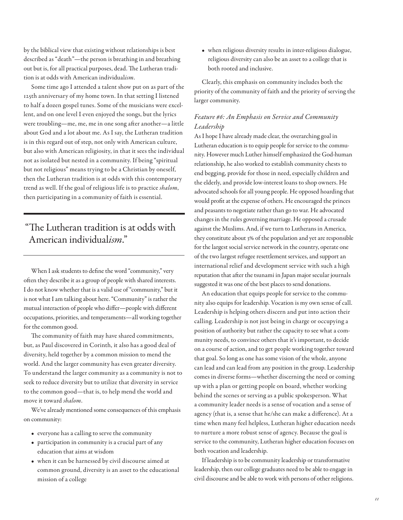by the biblical view that existing without relationships is best described as "death"—the person is breathing in and breathing out but is, for all practical purposes, dead. The Lutheran tradition is at odds with American individualism.

Some time ago I attended a talent show put on as part of the 125th anniversary of my home town. In that setting I listened to half a dozen gospel tunes. Some of the musicians were excellent, and on one level I even enjoyed the songs, but the lyrics were troubling—me, me, me in one song afer another—a little about God and a lot about me. As I say, the Lutheran tradition is in this regard out of step, not only with American culture, but also with American religiosity, in that it sees the individual not as isolated but nested in a community. If being "spiritual but not religious" means trying to be a Christian by oneself, then the Lutheran tradition is at odds with this contemporary trend as well. If the goal of religious life is to practice shalom, then participating in a community of faith is essential.

# "The Lutheran tradition is at odds with American individualism."

When I ask students to defne the word "community," very ofen they describe it as a group of people with shared interests. I do not know whether that is a valid use of "community," but it is not what I am talking about here. "Community" is rather the mutual interaction of people who difer—people with diferent occupations, priorities, and temperaments—all working together for the common good.

The community of faith may have shared commitments, but, as Paul discovered in Corinth, it also has a good deal of diversity, held together by a common mission to mend the world. And the larger community has even greater diversity. To understand the larger community as a community is not to seek to reduce diversity but to utilize that diversity in service to the common good—that is, to help mend the world and move it toward shalom.

We've already mentioned some consequences of this emphasis on community:

- everyone has a calling to serve the community
- participation in community is a crucial part of any education that aims at wisdom
- when it can be harnessed by civil discourse aimed at common ground, diversity is an asset to the educational mission of a college

• when religious diversity results in inter-religious dialogue, religious diversity can also be an asset to a college that is both rooted and inclusive.

Clearly, this emphasis on community includes both the priority of the community of faith and the priority of serving the larger community.

### Feature #6: An Emphasis on Service and Community Leadership

As I hope I have already made clear, the overarching goal in Lutheran education is to equip people for service to the community. However much Luther himself emphasized the God-human relationship, he also worked to establish community chests to end begging, provide for those in need, especially children and the elderly, and provide low-interest loans to shop owners. He advocated schools for all young people. He opposed hoarding that would proft at the expense of others. He encouraged the princes and peasants to negotiate rather than go to war. He advocated changes in the rules governing marriage. He opposed a crusade against the Muslims. And, if we turn to Lutherans in America, they constitute about 3% of the population and yet are responsible for the largest social service network in the country, operate one of the two largest refugee resettlement services, and support an international relief and development service with such a high reputation that afer the tsunami in Japan major secular journals suggested it was one of the best places to send donations.

An education that equips people for service to the community also equips for leadership. Vocation is my own sense of call. Leadership is helping others discern and put into action their calling. Leadership is not just being in charge or occupying a position of authority but rather the capacity to see what a community needs, to convince others that it's important, to decide on a course of action, and to get people working together toward that goal. So long as one has some vision of the whole, anyone can lead and can lead from any position in the group. Leadership comes in diverse forms—whether discerning the need or coming up with a plan or getting people on board, whether working behind the scenes or serving as a public spokesperson. What a community leader needs is a sense of vocation and a sense of agency (that is, a sense that he/she can make a diference). At a time when many feel helpless, Lutheran higher education needs to nurture a more robust sense of agency. Because the goal is service to the community, Lutheran higher education focuses on both vocation and leadership.

If leadership is to be community leadership or transformative leadership, then our college graduates need to be able to engage in civil discourse and be able to work with persons of other religions.